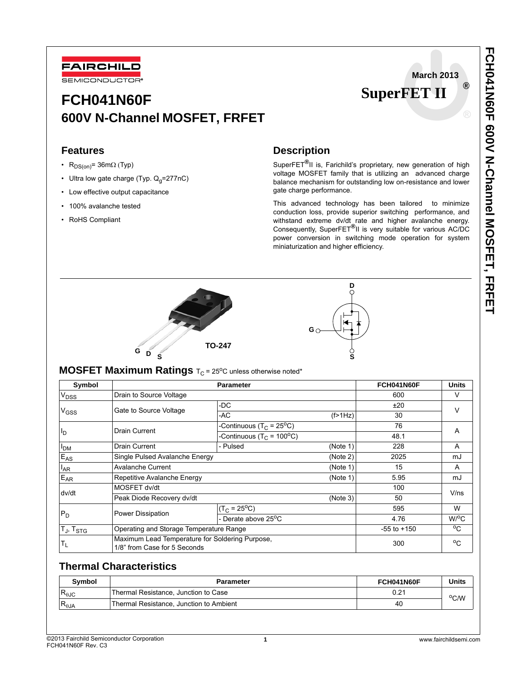

# **March 2013 SuperFET II ®**

# **FCH041N60F 600V N-Channel MOSFET, FRFET**

## **Features**

- R<sub>DS(on)</sub>= 36m $\Omega$  (Typ)
- Ultra low gate charge (Typ.  $Q_q = 277nC$ )
- Low effective output capacitance
- 100% avalanche tested
- RoHS Compliant

# **Description**

SuperFET**®**II is, Farichild's proprietary, new generation of high voltage MOSFET family that is utilizing an advanced charge balance mechanism for outstanding low on-resistance and lower gate charge performance.

This advanced technology has been tailored to minimize conduction loss, provide superior switching performance, and withstand extreme dv/dt rate and higher avalanche energy. Consequently, SuperFET**®**II is very suitable for various AC/DC power conversion in switching mode operation for system miniaturization and higher efficiency.





# **MOSFET Maximum Ratings**  $T_C = 25^{\circ}C$  unless otherwise noted\*

| Symbol                             | <b>Parameter</b>                                                                |                                                  |          | FCH041N60F      | <b>Units</b>         |  |
|------------------------------------|---------------------------------------------------------------------------------|--------------------------------------------------|----------|-----------------|----------------------|--|
| V <sub>DSS</sub>                   | Drain to Source Voltage                                                         |                                                  |          | 600             | V                    |  |
| V <sub>GSS</sub>                   | Gate to Source Voltage                                                          | -DC                                              |          | ±20             | V                    |  |
|                                    |                                                                                 | -AC                                              | (f>1Hz)  | 30              |                      |  |
| ll <sub>D</sub>                    | Drain Current                                                                   | -Continuous (T <sub>C</sub> = 25 <sup>o</sup> C) |          | 76              | A                    |  |
|                                    |                                                                                 | -Continuous ( $T_C$ = 100 <sup>o</sup> C)        |          | 48.1            |                      |  |
| <b>PDM</b>                         | Drain Current                                                                   | - Pulsed<br>(Note 1)                             |          | 228             | A                    |  |
| $E_{AS}$                           | Single Pulsed Avalanche Energy<br>(Note 2)                                      |                                                  |          | 2025            | mJ                   |  |
| $I_{AR}$                           | <b>Avalanche Current</b>                                                        |                                                  | (Note 1) | 15              | A                    |  |
| E <sub>AR</sub>                    | Repetitive Avalanche Energy                                                     |                                                  | (Note 1) | 5.95            | mJ                   |  |
| dv/dt                              | MOSFET dv/dt                                                                    |                                                  |          | 100             | V/ns                 |  |
|                                    | Peak Diode Recovery dv/dt<br>(Note 3)                                           |                                                  |          | 50              |                      |  |
| $P_D$                              | Power Dissipation                                                               | $(T_C = 25^{\circ}C)$                            |          | 595             | W                    |  |
|                                    |                                                                                 | - Derate above 25 <sup>o</sup> C                 |          | 4.76            | $W$ <sup>o</sup> $C$ |  |
| $ T_{\text{J}}$ , $T_{\text{STG}}$ | Operating and Storage Temperature Range                                         |                                                  |          | $-55$ to $+150$ | $^{\circ}$ C         |  |
| $T_{L}$                            | Maximum Lead Temperature for Soldering Purpose,<br>1/8" from Case for 5 Seconds |                                                  |          | 300             | $^{\circ}$ C         |  |

## **Thermal Characteristics**

| Svmbol          | Parameter                               | FCH041N60F | Units |
|-----------------|-----------------------------------------|------------|-------|
| $R_{0JC}$       | Thermal Resistance, Junction to Case    | 0.21       | °C/W  |
| $R_{\theta JA}$ | Thermal Resistance, Junction to Ambient | 40         |       |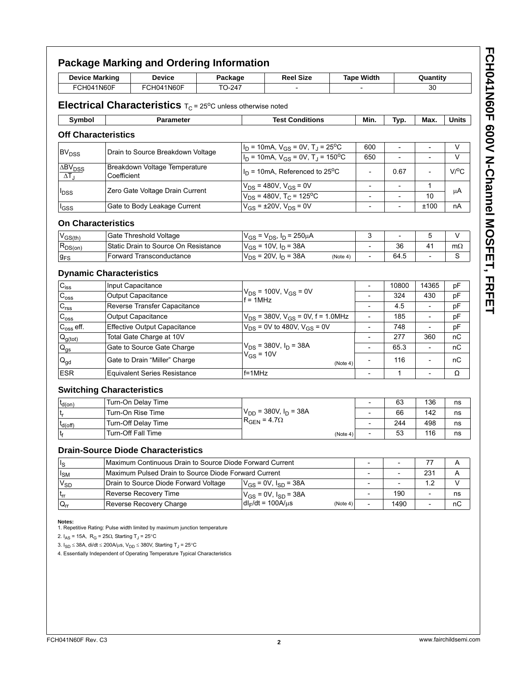| <b>Device Marking</b><br><b>Device</b><br>FCH041N60F<br>FCH041N60F                         |                                                      | Package                                                                                                                                                                                                                                                       |  | <b>Reel Size</b>                                                                       |                                                                 | <b>Tape Width</b>        |                                                      | Quantity                                             |                    |              |
|--------------------------------------------------------------------------------------------|------------------------------------------------------|---------------------------------------------------------------------------------------------------------------------------------------------------------------------------------------------------------------------------------------------------------------|--|----------------------------------------------------------------------------------------|-----------------------------------------------------------------|--------------------------|------------------------------------------------------|------------------------------------------------------|--------------------|--------------|
|                                                                                            |                                                      | TO-247                                                                                                                                                                                                                                                        |  |                                                                                        |                                                                 |                          |                                                      | 30                                                   |                    |              |
|                                                                                            |                                                      | <b>Electrical Characteristics</b> $T_c$ = 25°C unless otherwise noted                                                                                                                                                                                         |  |                                                                                        |                                                                 |                          |                                                      |                                                      |                    |              |
| Symbol                                                                                     |                                                      | <b>Parameter</b>                                                                                                                                                                                                                                              |  |                                                                                        | <b>Test Conditions</b>                                          |                          | Min.                                                 | Typ.                                                 | Max.               | <b>Units</b> |
| <b>Off Characteristics</b>                                                                 |                                                      |                                                                                                                                                                                                                                                               |  |                                                                                        |                                                                 |                          |                                                      |                                                      |                    |              |
|                                                                                            |                                                      |                                                                                                                                                                                                                                                               |  |                                                                                        | $I_D$ = 10mA, $V_{GS}$ = 0V, T <sub>J</sub> = 25 <sup>o</sup> C |                          | 600                                                  | $\overline{\phantom{a}}$                             | $\overline{a}$     | V            |
| <b>BV<sub>DSS</sub></b>                                                                    |                                                      | Drain to Source Breakdown Voltage                                                                                                                                                                                                                             |  | $I_D$ = 10mA, $V_{GS}$ = 0V, T <sub>J</sub> = 150 <sup>o</sup> C                       |                                                                 |                          | 650                                                  |                                                      |                    | $\vee$       |
| $\overline{\Delta}$ BV <sub>DSS</sub><br>$\Delta T_{\rm J}$                                | Coefficient                                          | Breakdown Voltage Temperature                                                                                                                                                                                                                                 |  | $I_D$ = 10mA, Referenced to 25 <sup>o</sup> C                                          |                                                                 | $\qquad \qquad -$        | 0.67                                                 |                                                      | $V$ <sup>O</sup> C |              |
| <b>I</b> DSS                                                                               | Zero Gate Voltage Drain Current                      |                                                                                                                                                                                                                                                               |  | $V_{DS}$ = 480V, $V_{GS}$ = 0V<br>$V_{DS}$ = 480V, T <sub>C</sub> = 125 <sup>o</sup> C |                                                                 |                          | $\overline{\phantom{a}}$                             | $\overline{\phantom{a}}$                             | 1                  | μA           |
|                                                                                            |                                                      | Gate to Body Leakage Current                                                                                                                                                                                                                                  |  | $V_{GS}$ = ±20V, $V_{DS}$ = 0V                                                         |                                                                 |                          | $\overline{\phantom{a}}$<br>$\overline{\phantom{a}}$ | $\overline{\phantom{a}}$<br>$\overline{\phantom{a}}$ | 10<br>±100         | nA           |
| lgss                                                                                       |                                                      |                                                                                                                                                                                                                                                               |  |                                                                                        |                                                                 |                          |                                                      |                                                      |                    |              |
| <b>On Characteristics</b>                                                                  |                                                      |                                                                                                                                                                                                                                                               |  |                                                                                        |                                                                 |                          |                                                      |                                                      |                    |              |
| $V_{GS(th)}$                                                                               |                                                      | Gate Threshold Voltage                                                                                                                                                                                                                                        |  | $V_{GS} = V_{DS}$ , $I_D = 250 \mu A$                                                  |                                                                 | 3                        | $\overline{\phantom{a}}$                             | 5                                                    | V                  |              |
| $R_{DS(on)}$                                                                               |                                                      | Static Drain to Source On Resistance                                                                                                                                                                                                                          |  | $V_{GS}$ = 10V, $I_D$ = 38A                                                            |                                                                 |                          | 36                                                   | 41                                                   | $m\Omega$          |              |
| $g_{FS}$                                                                                   |                                                      | Forward Transconductance                                                                                                                                                                                                                                      |  | $V_{DS}$ = 20V, $I_D$ = 38A<br>(Note 4)                                                |                                                                 | $\overline{\phantom{a}}$ | 64.5                                                 | $\overline{\phantom{a}}$                             | S                  |              |
| <b>Dynamic Characteristics</b>                                                             |                                                      |                                                                                                                                                                                                                                                               |  |                                                                                        |                                                                 |                          |                                                      |                                                      |                    |              |
| $C_{iss}$                                                                                  |                                                      | Input Capacitance<br><b>Output Capacitance</b><br>Reverse Transfer Capacitance                                                                                                                                                                                |  | $V_{DS}$ = 100V, $V_{GS}$ = 0V<br>$f = 1$ MHz                                          |                                                                 | $\overline{\phantom{a}}$ | 10800                                                | 14365                                                | рF                 |              |
| $\mathrm{C}_{\mathrm{oss}}$                                                                |                                                      |                                                                                                                                                                                                                                                               |  |                                                                                        |                                                                 | $\overline{\phantom{a}}$ | 324                                                  | 430                                                  | рF                 |              |
| $C_{rss}$                                                                                  |                                                      |                                                                                                                                                                                                                                                               |  |                                                                                        |                                                                 |                          | 45                                                   |                                                      | рF                 |              |
| $\rm{C_{oss}}$                                                                             |                                                      | <b>Output Capacitance</b>                                                                                                                                                                                                                                     |  | $V_{DS}$ = 380V, $V_{GS}$ = 0V, f = 1.0MHz                                             |                                                                 | $\overline{\phantom{a}}$ | 185                                                  |                                                      | рF                 |              |
| $C_{\rm oss}$ eff.                                                                         |                                                      | <b>Effective Output Capacitance</b>                                                                                                                                                                                                                           |  | $V_{DS}$ = 0V to 480V, $V_{GS}$ = 0V                                                   |                                                                 |                          | 748                                                  |                                                      | pF                 |              |
| $Q_{g(tot)}$                                                                               |                                                      | Total Gate Charge at 10V<br>Gate to Source Gate Charge                                                                                                                                                                                                        |  |                                                                                        |                                                                 |                          |                                                      | 277                                                  | 360                | пC           |
| $\mathsf{Q}_{\mathsf{gs}}$                                                                 |                                                      |                                                                                                                                                                                                                                                               |  | $V_{DS}$ = 380V, $I_D$ = 38A<br>$V_{GS}$ = 10V                                         |                                                                 | $\overline{\phantom{a}}$ | 65.3                                                 | $\overline{\phantom{a}}$                             | пC                 |              |
| $\mathsf{Q}_{\mathsf{gd}}$                                                                 |                                                      | Gate to Drain "Miller" Charge                                                                                                                                                                                                                                 |  | (Note 4)                                                                               |                                                                 | $\overline{\phantom{0}}$ | 116                                                  | $\overline{a}$                                       | nС                 |              |
| <b>ESR</b>                                                                                 |                                                      | <b>Equivalent Series Resistance</b>                                                                                                                                                                                                                           |  | $f = 1$ MHz                                                                            |                                                                 |                          |                                                      | $\mathbf{1}$                                         |                    | Ω            |
| <b>Switching Characteristics</b>                                                           |                                                      |                                                                                                                                                                                                                                                               |  |                                                                                        |                                                                 |                          |                                                      |                                                      |                    |              |
| $t_{d(on)}$                                                                                |                                                      | Turn-On Delay Time                                                                                                                                                                                                                                            |  |                                                                                        |                                                                 |                          | $\overline{\phantom{a}}$                             | 63                                                   | 136                | ns           |
| t <sub>r</sub>                                                                             |                                                      | Turn-On Rise Time                                                                                                                                                                                                                                             |  | $V_{DD}$ = 380V, $I_D$ = 38A                                                           |                                                                 |                          | 66                                                   | 142                                                  | ns                 |              |
| t <sub>d(off)</sub>                                                                        |                                                      | Turn-Off Delay Time                                                                                                                                                                                                                                           |  | $R_{GEN} = 4.7\Omega$<br>(Note 4)                                                      |                                                                 | $\overline{\phantom{a}}$ | 244                                                  | 498                                                  | ns                 |              |
| tғ                                                                                         |                                                      | <b>Turn-Off Fall Time</b>                                                                                                                                                                                                                                     |  |                                                                                        |                                                                 |                          | 53                                                   | 116                                                  | ns                 |              |
|                                                                                            |                                                      | <b>Drain-Source Diode Characteristics</b>                                                                                                                                                                                                                     |  |                                                                                        |                                                                 |                          |                                                      |                                                      |                    |              |
| ls                                                                                         |                                                      | Maximum Continuous Drain to Source Diode Forward Current                                                                                                                                                                                                      |  |                                                                                        |                                                                 |                          | $\overline{\phantom{a}}$                             | $\overline{\phantom{a}}$                             | 77                 | Α            |
| I <sub>SM</sub>                                                                            | Maximum Pulsed Drain to Source Diode Forward Current |                                                                                                                                                                                                                                                               |  |                                                                                        |                                                                 |                          | $\overline{\phantom{a}}$                             | 231                                                  | Α                  |              |
| $\mathsf{v}_{\mathsf{SD}}$                                                                 |                                                      | Drain to Source Diode Forward Voltage                                                                                                                                                                                                                         |  | $V_{GS}$ = 0V, $I_{SD}$ = 38A                                                          |                                                                 |                          | $\overline{\phantom{0}}$                             | $\overline{a}$                                       | 1.2                | V            |
| $\mathfrak{t}_{\sf rr}$                                                                    |                                                      | Reverse Recovery Time                                                                                                                                                                                                                                         |  | $V_{GS} = 0V$ , $I_{SD} = 38A$                                                         |                                                                 |                          | 190                                                  | $\qquad \qquad \blacksquare$                         | ns                 |              |
| $\mathsf{Q}_{\mathsf{rr}}$                                                                 |                                                      | Reverse Recovery Charge                                                                                                                                                                                                                                       |  | $dl_F/dt = 100A/\mu s$                                                                 |                                                                 | (Note 4)                 | $\overline{\phantom{a}}$                             | 1490                                                 | $\overline{a}$     | nС           |
| Notes:<br>2. $I_{AS}$ = 15A, R <sub>G</sub> = 25 $\Omega$ , Starting T <sub>J</sub> = 25°C |                                                      | 1. Repetitive Rating: Pulse width limited by maximum junction temperature<br>3. I <sub>SD</sub> ≤ 38A, di/dt ≤ 200A/μs, V <sub>DD</sub> ≤ 380V, Starting T <sub>J</sub> = 25°C<br>4. Essentially Independent of Operating Temperature Typical Characteristics |  |                                                                                        |                                                                 |                          |                                                      |                                                      |                    |              |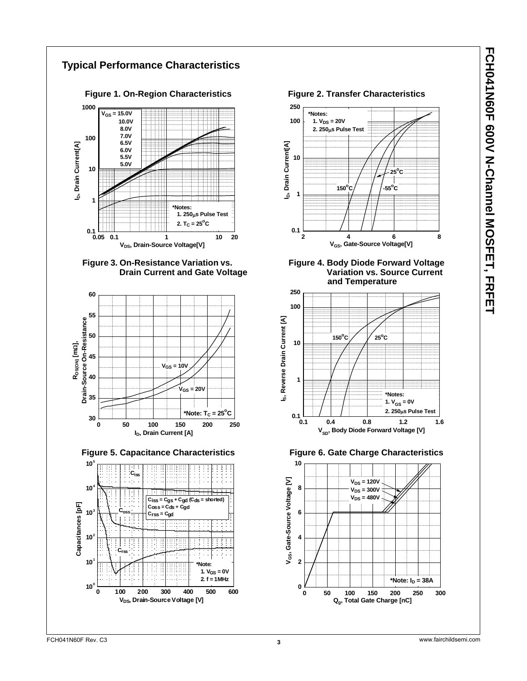









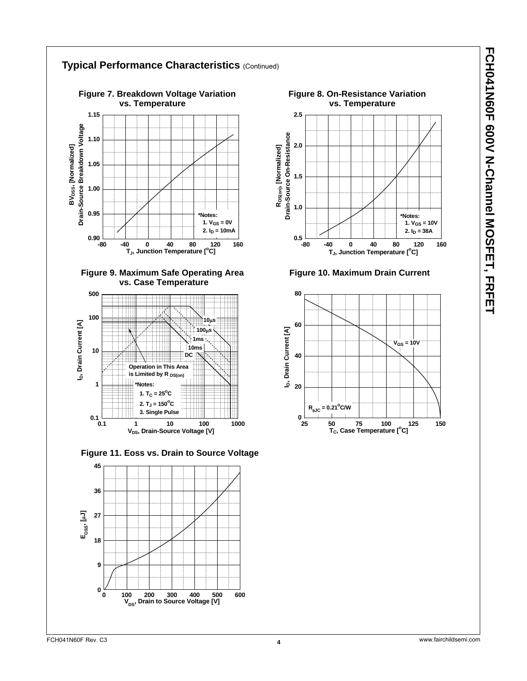

## **Typical Performance Characteristics** (Continued)













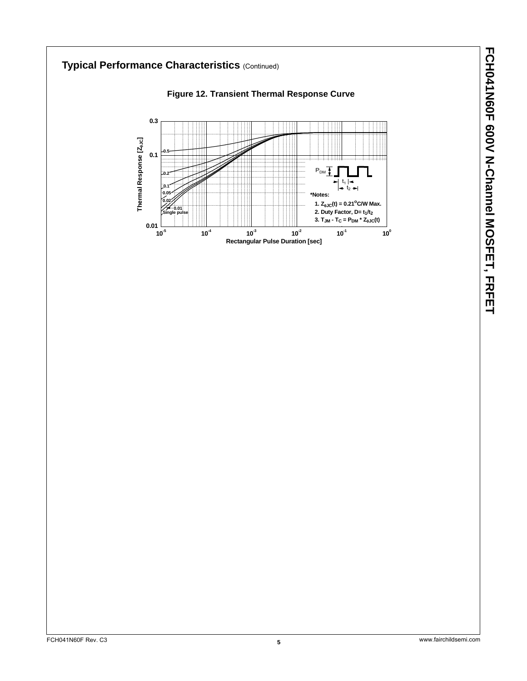# **Typical Performance Characteristics (Continued) Figure 12. Transient Thermal Response Curve 0.3** Thermal Response [Z<sub>eJC</sub>] **Thermal Response [Z**θ**JC] 0.5 0.1**  $P_{DM}$ **0.2** -111  $t_1$   $\rightarrow$ **0.1** Ш  $t<sub>2</sub>$ **0.05 \*Notes: 0.02 1.**  $Z_{\theta JC}(t) = 0.21^{\circ}$ C/W Max. **0.01 2. Duty Factor, D= t<sub>1</sub>/t<sub>2</sub> Single pulse 3. TJM - TC = PDM \* Z**θ**JC(t) 0.01 10-5 10-4 10-3 10-2 10-1 100 Rectangular Pulse Duration [sec]**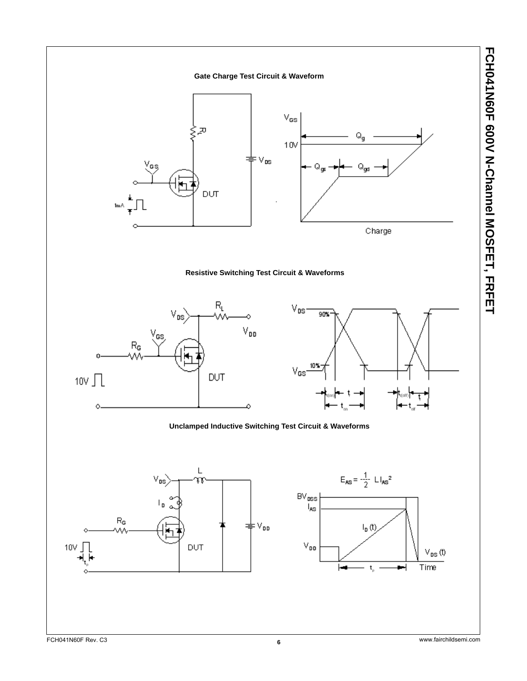

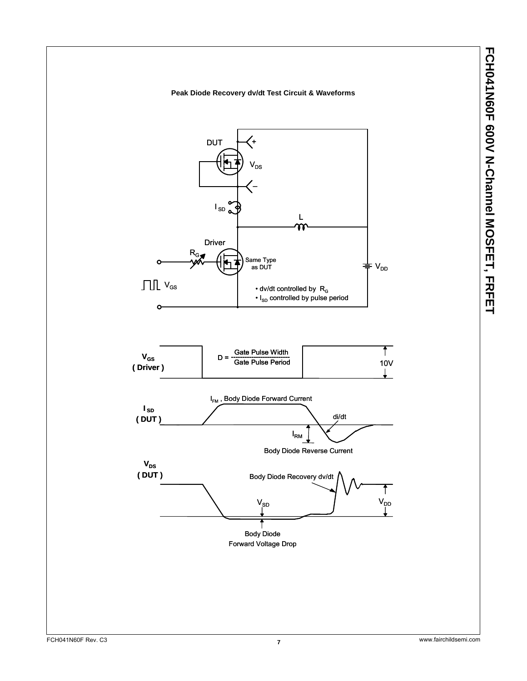FCH041N60F 600V N-Channel MOSFET, FRFET **FCH041N60F 600V N-Channel MOSFET, FRFET**

## **Peak Diode Recovery dv/dt Test Circuit & Waveforms**

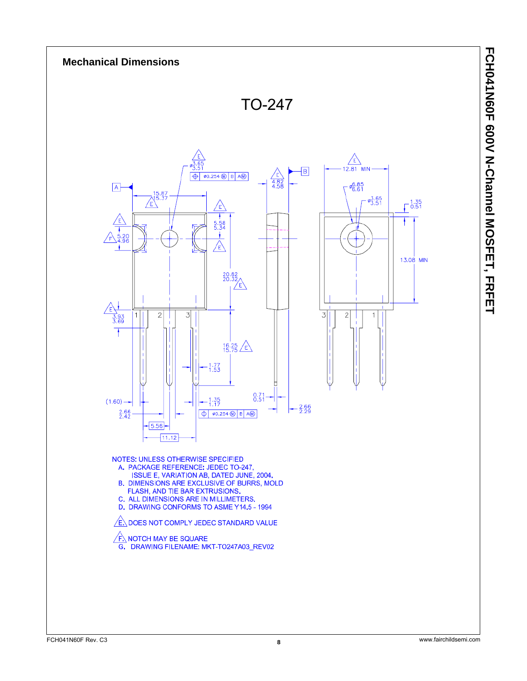![](_page_7_Figure_0.jpeg)